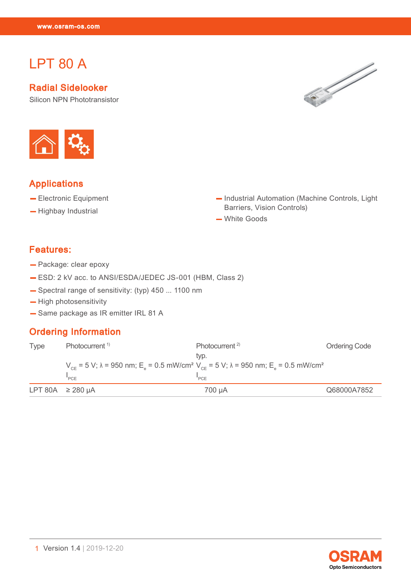# LPT 80 A

Let the second control of the second control of the second control of the second control of the second control of the second control of the second control of the second control of the second control of the second control o

Radial Sidelooker

Silicon NPN Phototransistor





#### Applications

- Electronic Equipment
- Highbay Industrial
- Industrial Automation (Machine Controls, Light Barriers, Vision Controls)
- White Goods

#### Features:

- Package: clear epoxy
- ESD: 2 kV acc. to ANSI/ESDA/JEDEC JS-001 (HBM, Class 2)
- Spectral range of sensitivity: (typ) 450 ... 1100 nm
- High photosensitivity
- Same package as IR emitter IRL 81 A

#### Ordering Information

| <b>Type</b> | Photocurrent <sup>1)</sup> | Photocurrent <sup>2)</sup>                                                                                                                                     | <b>Ordering Code</b> |
|-------------|----------------------------|----------------------------------------------------------------------------------------------------------------------------------------------------------------|----------------------|
|             |                            | tvp.                                                                                                                                                           |                      |
|             |                            | $V_{CF}$ = 5 V; $\lambda$ = 950 nm; E <sub>a</sub> = 0.5 mW/cm <sup>2</sup> V <sub>CE</sub> = 5 V; $\lambda$ = 950 nm; E <sub>a</sub> = 0.5 mW/cm <sup>2</sup> |                      |
|             | "PCE                       | "PCF                                                                                                                                                           |                      |
|             | LPT 80A $\geq$ 280 µA      | 700 uA                                                                                                                                                         | Q68000A7852          |

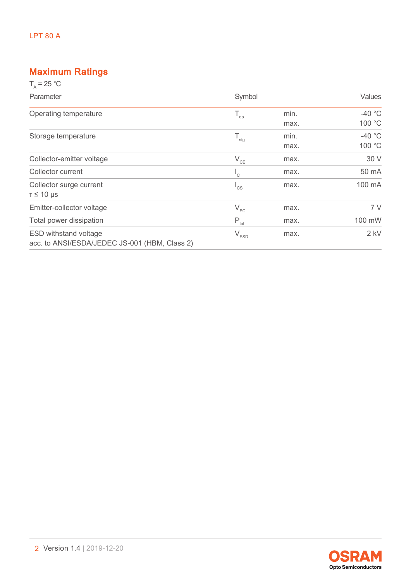### Maximum Ratings

| $T_a = 25 °C$                                                                 |                           |              |                    |
|-------------------------------------------------------------------------------|---------------------------|--------------|--------------------|
| Parameter                                                                     | Symbol                    |              | <b>Values</b>      |
| Operating temperature                                                         | $\mathsf{T}_{\text{op}}$  | min.<br>max. | $-40$ °C<br>100 °C |
| Storage temperature                                                           | $T_{\rm stg}$             | min.<br>max. | $-40$ °C<br>100 °C |
| Collector-emitter voltage                                                     | $\rm V_{\rm CE}$          | max.         | 30 V               |
| Collector current                                                             | $\mathsf{I}_{\mathsf{C}}$ | max.         | 50 mA              |
| Collector surge current<br>$T \leq 10$ µs                                     | $I_{CS}$                  | max.         | 100 mA             |
| Emitter-collector voltage                                                     | $V_{EC}$                  | max.         | 7V                 |
| Total power dissipation                                                       | $P_{\text{tot}}$          | max.         | 100 mW             |
| <b>ESD withstand voltage</b><br>acc. to ANSI/ESDA/JEDEC JS-001 (HBM, Class 2) | $V_{ESD}$                 | max.         | $2$ kV             |

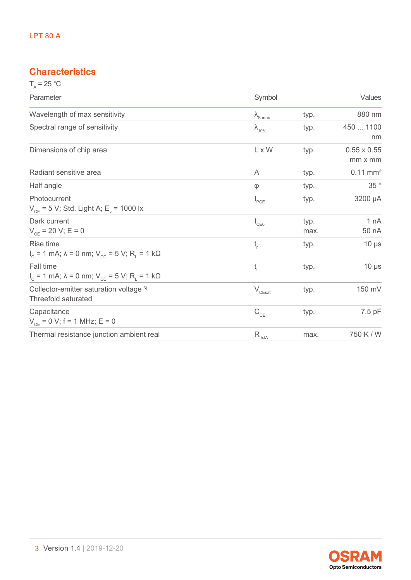### **Characteristics**

| $T_a = 25 °C$                                                                     |                                       |              |                               |
|-----------------------------------------------------------------------------------|---------------------------------------|--------------|-------------------------------|
| Parameter                                                                         | Symbol                                |              | Values                        |
| Wavelength of max sensitivity                                                     | $\lambda_{\text{S max}}$              | typ.         | 880 nm                        |
| Spectral range of sensitivity                                                     | $\lambda_{10\%}$                      | typ.         | 450  1100<br>nm               |
| Dimensions of chip area                                                           | L x W                                 | typ.         | $0.55 \times 0.55$<br>mm x mm |
| Radiant sensitive area                                                            | A                                     | typ.         | $0.11$ mm <sup>2</sup>        |
| Half angle                                                                        | $\varphi$                             | typ.         | $35~^\circ$                   |
| Photocurrent<br>$V_{CF}$ = 5 V; Std. Light A; E <sub>v</sub> = 1000 lx            | $I_{PCE}$                             | typ.         | 3200 µA                       |
| Dark current<br>$V_{CF}$ = 20 V; E = 0                                            | $I_{CE0}$                             | typ.<br>max. | 1 nA<br>50 nA                 |
| Rise time<br>$I_c$ = 1 mA; λ = 0 nm; V <sub>cc</sub> = 5 V; R <sub>1</sub> = 1 kΩ | t,                                    | typ.         | $10 \mu s$                    |
| Fall time<br>$I_c$ = 1 mA; λ = 0 nm; V <sub>cc</sub> = 5 V; R <sub>1</sub> = 1 kΩ | t,                                    | typ.         | $10 \mu s$                    |
| Collector-emitter saturation voltage 3)<br>Threefold saturated                    | $\rm V_{\rm CEsat}$                   | typ.         | 150 mV                        |
| Capacitance<br>$V_{CF}$ = 0 V; f = 1 MHz; E = 0                                   | $C_{CE}$                              | typ.         | 7.5 pF                        |
| Thermal resistance junction ambient real                                          | $\mathsf{R}_{\underbar{\text{thJA}}}$ | max.         | 750 K / W                     |

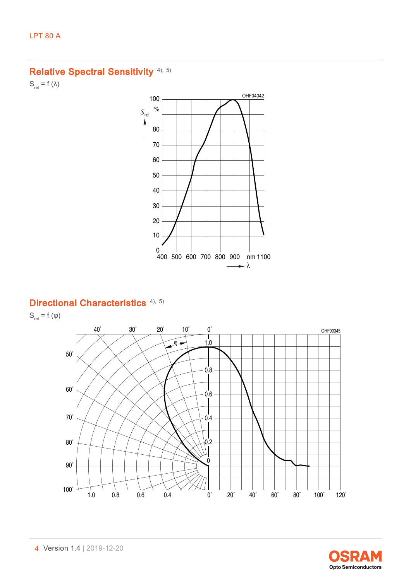## Relative Spectral Sensitivity<sup>[4\),](#page-10-0) [5\)](#page-10-0)</sup>

 $S_{rel} = f (\lambda)$ 



### Directional Characteristics<sup>[4\),](#page-10-0) [5\)](#page-10-0)</sup>

 $S_{\textrm{\tiny rel}}=f(\phi)$ 



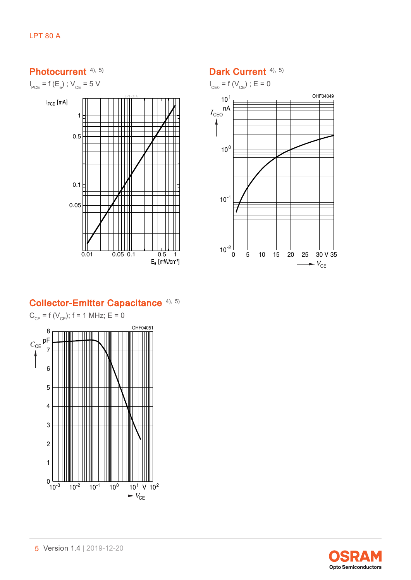### Photocurrent <sup>[4\),](#page-10-0) [5\)](#page-10-0)</sup>

 $I_{PCE}$  = f (E<sub>e</sub>) ; V<sub>CE</sub> = 5 V



#### Dark Current <sup>[4\),](#page-10-0) [5\)](#page-10-0)</sup>

 $I_{CE0}$  = f ( $V_{CE}$ ) ; E = 0



### Collector-Emitter Capacitance [4\),](#page-10-0) [5\)](#page-10-0)



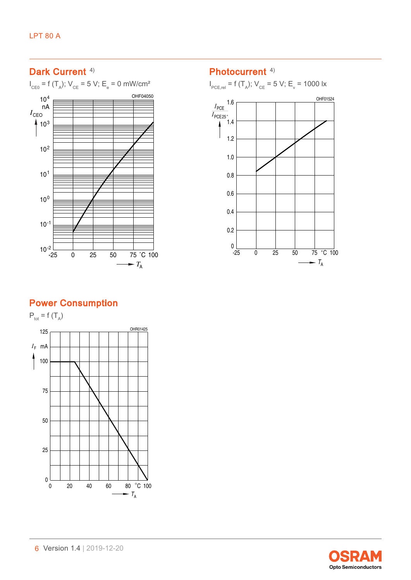## Dark Current<sup>[4\)](#page-10-0)</sup>  $I_{\text{ceo}}$  = f (T<sub>A</sub>); V<sub>CE</sub> = 5 V; E<sub>e</sub> = 0 mW/cm<sup>2</sup> OHF04050  $10<sup>4</sup>$ nA  $I_{\text{CEO}}$  $410^{3}$  $10<sup>2</sup>$  $10<sup>1</sup>$  $10^{0}$  $10^{-1}$  $10^{-2}$   $-25$  $\overline{0}$  25 50 75 °C 100  $\rightarrow$   $T_A$  $\sim$

#### Photocurrent<sup>[4\)](#page-10-0)</sup>

 $I_{\text{PCE,rel}} = f(T_A)$ ;  $V_{\text{CE}} = 5 \text{ V}$ ;  $E_v = 1000 \text{ Jx}$ 



## Power Consumption



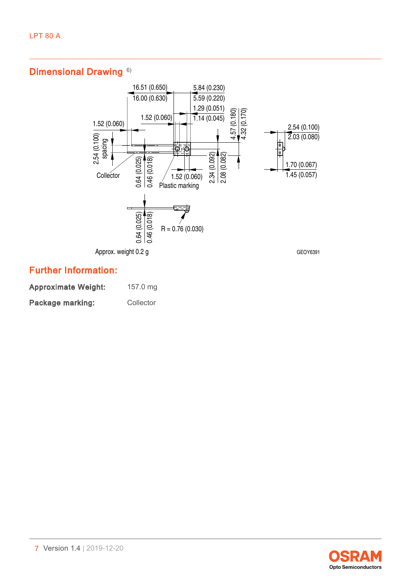### Dimensional Drawing<sup>[6\)](#page-10-0)</sup>



### Further Information:

| <b>Approximate Weight:</b> | 157.0 mg  |
|----------------------------|-----------|
| <b>Package marking:</b>    | Collector |

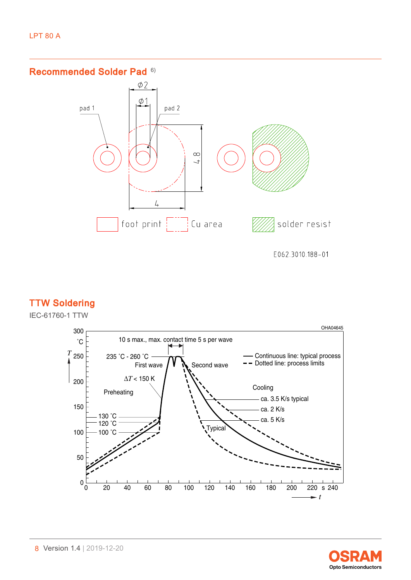Recommended Solder Pad [6\)](#page-10-0)



E062.3010.188-01

### TTW Soldering

IEC-61760-1 TTW



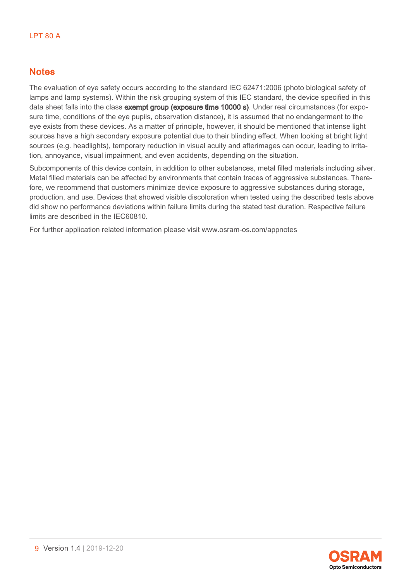#### **Notes**

The evaluation of eye safety occurs according to the standard IEC 62471:2006 (photo biological safety of lamps and lamp systems). Within the risk grouping system of this IEC standard, the device specified in this data sheet falls into the class **exempt group (exposure time 10000 s)**. Under real circumstances (for exposure time, conditions of the eye pupils, observation distance), it is assumed that no endangerment to the eye exists from these devices. As a matter of principle, however, it should be mentioned that intense light sources have a high secondary exposure potential due to their blinding effect. When looking at bright light sources (e.g. headlights), temporary reduction in visual acuity and afterimages can occur, leading to irritation, annoyance, visual impairment, and even accidents, depending on the situation.

Subcomponents of this device contain, in addition to other substances, metal filled materials including silver. Metal filled materials can be affected by environments that contain traces of aggressive substances. Therefore, we recommend that customers minimize device exposure to aggressive substances during storage, production, and use. Devices that showed visible discoloration when tested using the described tests above did show no performance deviations within failure limits during the stated test duration. Respective failure limits are described in the IEC60810.

For further application related information please visit www.osram-os.com/appnotes

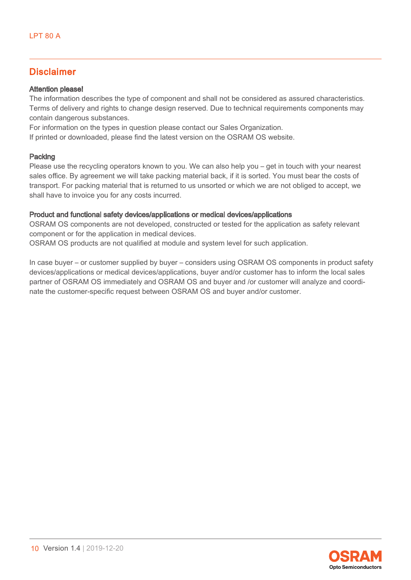#### Disclaimer

#### Attention please!

The information describes the type of component and shall not be considered as assured characteristics. Terms of delivery and rights to change design reserved. Due to technical requirements components may contain dangerous substances.

For information on the types in question please contact our Sales Organization.

If printed or downloaded, please find the latest version on the OSRAM OS website.

#### Packing

Please use the recycling operators known to you. We can also help you – get in touch with your nearest sales office. By agreement we will take packing material back, if it is sorted. You must bear the costs of transport. For packing material that is returned to us unsorted or which we are not obliged to accept, we shall have to invoice you for any costs incurred.

#### Product and functional safety devices/applications or medical devices/applications

OSRAM OS components are not developed, constructed or tested for the application as safety relevant component or for the application in medical devices.

OSRAM OS products are not qualified at module and system level for such application.

In case buyer – or customer supplied by buyer – considers using OSRAM OS components in product safety devices/applications or medical devices/applications, buyer and/or customer has to inform the local sales partner of OSRAM OS immediately and OSRAM OS and buyer and /or customer will analyze and coordinate the customer-specific request between OSRAM OS and buyer and/or customer.

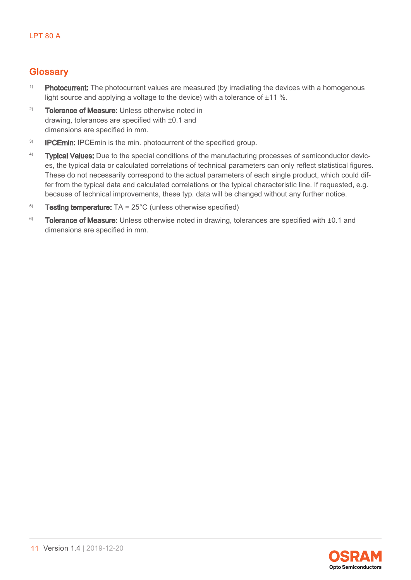#### <span id="page-10-0"></span>**Glossary**

- <sup>1)</sup> Photocurrent: The photocurrent values are measured (by irradiating the devices with a homogenous light source and applying a voltage to the device) with a tolerance of ±11 %.
- <sup>2)</sup> Tolerance of Measure: Unless otherwise noted in drawing, tolerances are specified with ±0.1 and dimensions are specified in mm.
- <sup>3)</sup> **IPCEmin:** IPCEmin is the min. photocurrent of the specified group.
- <sup>4)</sup> Typical Values: Due to the special conditions of the manufacturing processes of semiconductor devices, the typical data or calculated correlations of technical parameters can only reflect statistical figures. These do not necessarily correspond to the actual parameters of each single product, which could differ from the typical data and calculated correlations or the typical characteristic line. If requested, e.g. because of technical improvements, these typ. data will be changed without any further notice.
- $5$  Testing temperature: TA = 25 $^{\circ}$ C (unless otherwise specified)
- $6$  Tolerance of Measure: Unless otherwise noted in drawing, tolerances are specified with  $\pm 0.1$  and dimensions are specified in mm.

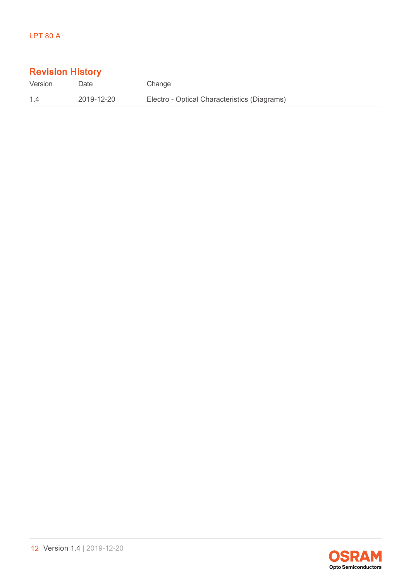| <b>Revision History</b> |            |                                              |  |
|-------------------------|------------|----------------------------------------------|--|
| Version                 | Date       | Change                                       |  |
| $14$                    | 2019-12-20 | Electro - Optical Characteristics (Diagrams) |  |